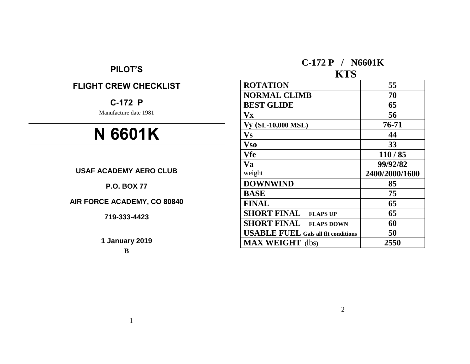# **PILOT'S**

# **FLIGHT CREW CHECKLIST**

# **C-172 P**

Manufacture date 1981

# **N 6601K**

**USAF ACADEMY AERO CLUB**

**P.O. BOX 77**

**AIR FORCE ACADEMY, CO 80840**

**719-333-4423**

**1 January 2019**

**B**

# **C-172 P / N6601K**

# **KTS**

| <b>ROTATION</b>                            | 55             |
|--------------------------------------------|----------------|
| <b>NORMAL CLIMB</b>                        | 70             |
| <b>BEST GLIDE</b>                          | 65             |
| $\mathbf{V}\mathbf{x}$                     | 56             |
| Vy (SL-10,000 MSL)                         | 76-71          |
| $\mathbf{V}\mathbf{s}$                     | 44             |
| <b>Vso</b>                                 | 33             |
| Vfe                                        | 110/85         |
| Va                                         | 99/92/82       |
| weight                                     | 2400/2000/1600 |
| <b>DOWNWIND</b>                            | 85             |
| <b>BASE</b>                                | 75             |
| <b>FINAL</b>                               | 65             |
| <b>SHORT FINAL</b><br><b>FLAPS UP</b>      | 65             |
| <b>SHORT FINAL</b><br><b>FLAPS DOWN</b>    | 60             |
| <b>USABLE FUEL Gals all flt conditions</b> | 50             |
| <b>MAX WEIGHT</b> (lbs)                    | 2550           |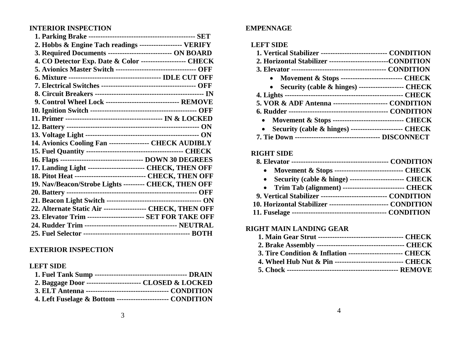## **INTERIOR INSPECTION**

| 2. Hobbs & Engine Tach readings ------------------ VERIFY         |  |
|-------------------------------------------------------------------|--|
| 3. Required Documents ----------------------------- ON BOARD      |  |
| 4. CO Detector Exp. Date & Color ------------------- CHECK        |  |
| 5. Avionics Master Switch ----------------------------------- OFF |  |
|                                                                   |  |
|                                                                   |  |
|                                                                   |  |
| 9. Control Wheel Lock ------------------------------- REMOVE      |  |
|                                                                   |  |
|                                                                   |  |
|                                                                   |  |
|                                                                   |  |
| 14. Avionics Cooling Fan ----------------- CHECK AUDIBLY          |  |
|                                                                   |  |
|                                                                   |  |
| 17. Landing Light ------------------------- CHECK, THEN OFF       |  |
| 18. Pitot Heat ------------------------------- CHECK, THEN OFF    |  |
| 19. Nav/Beacon/Strobe Lights --------- CHECK, THEN OFF            |  |
|                                                                   |  |
|                                                                   |  |
| 22. Alternate Static Air ------------------- CHECK, THEN OFF      |  |
| 23. Elevator Trim ------------------------ SET FOR TAKE OFF       |  |
|                                                                   |  |
|                                                                   |  |

## **EXTERIOR INSPECTION**

## **LEFT SIDE**

| 2. Baggage Door ------------------------ CLOSED & LOCKED    |  |
|-------------------------------------------------------------|--|
|                                                             |  |
| 4. Left Fuselage & Bottom ----------------------- CONDITION |  |

## **EMPENNAGE**

## **LEFT SIDE**

| 1. Vertical Stabilizer ----------------------------- CONDITION    |  |
|-------------------------------------------------------------------|--|
| 2. Horizontal Stabilizer --------------------------CONDITION      |  |
|                                                                   |  |
| • Movement & Stops ---------------------------- CHECK             |  |
| • Security (cable & hinges) --------------------- CHECK           |  |
|                                                                   |  |
| 5. VOR & ADF Antenna ------------------------ CONDITION           |  |
|                                                                   |  |
| • Movement & Stops ------------------------------- CHECK          |  |
| • Security (cable & hinges) ----------------------- CHECK         |  |
| <b>7. Tie Down ----------------------------------- DISCONNECT</b> |  |

## **RIGHT SIDE**

| • Movement & Stops -------------------------------- CHECK       |  |
|-----------------------------------------------------------------|--|
| • Security (cable & hinge) --------------------------- CHECK    |  |
| • Trim Tab (alignment) --------------------------- CHECK        |  |
| 9. Vertical Stabilizer ------------------------------ CONDITION |  |
| 10. Horizontal Stabilizer -------------------------- CONDITION  |  |
|                                                                 |  |

## **RIGHT MAIN LANDING GEAR**

| 3. Tire Condition & Inflation ------------------------- CHECK |  |
|---------------------------------------------------------------|--|
| 4. Wheel Hub Nut & Pin ------------------------------ CHECK   |  |
|                                                               |  |

3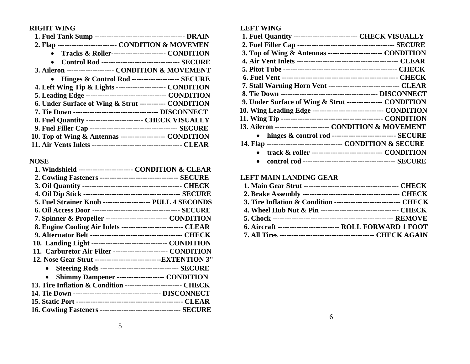## **RIGHT WING**

| 2. Flap ------------------------- CONDITION & MOVEMEN       |
|-------------------------------------------------------------|
| Tracks & Roller------------------------ CONDITION           |
| <b>Control Rod --------------------------------- SECURE</b> |
| 3. Aileron -------------------- CONDITION & MOVEMENT        |
| • Hinges & Control Rod --------------------- SECURE         |
| 4. Left Wing Tip & Lights ---------------------- CONDITION  |
|                                                             |
| 6. Under Surface of Wing & Strut ----------- CONDITION      |
|                                                             |
| 8. Fuel Quantity ------------------------- CHECK VISUALLY   |
|                                                             |
| 10. Top of Wing & Antennas ------------------- CONDITION    |
|                                                             |

# **NOSE**

| 1. Windshield ------------------------ CONDITION & CLEAR        |
|-----------------------------------------------------------------|
|                                                                 |
|                                                                 |
|                                                                 |
| 5. Fuel Strainer Knob -------------------- PULL 4 SECONDS       |
|                                                                 |
| 7. Spinner & Propeller ---------------------------- CONDITION   |
| 8. Engine Cooling Air Inlets --------------------------- CLEAR  |
|                                                                 |
| 10. Landing Light --------------------------------- CONDITION   |
| 11. Carburetor Air Filter ------------------------ CONDITION    |
| 12. Nose Gear Strut -------------------------------EXTENTION 3" |
| • Steering Rods --------------------------------- SECURE        |
| Shimmy Dampener -------------------- CONDITION                  |
| 13. Tire Inflation & Condition ------------------------- CHECK  |
|                                                                 |
|                                                                 |
|                                                                 |

## **LEFT WING**

| 1. Fuel Quantity --------------------------- CHECK VISUALLY       |
|-------------------------------------------------------------------|
|                                                                   |
| 3. Top of Wing & Antennas ------------------------ CONDITION      |
|                                                                   |
|                                                                   |
|                                                                   |
| 7. Stall Warning Horn Vent -------------------------------- CLEAR |
|                                                                   |
| 9. Under Surface of Wing & Strut --------------- CONDITION        |
| 10. Wing Leading Edge ------------------------------- CONDITION   |
|                                                                   |
| 13. Aileron ------------------------ CONDITION & MOVEMENT         |
| • hinges & control rod ---------------------------- SECURE        |
| 14. Flap --------------------------------- CONDITION & SECURE     |
| track & roller ------------------------------- CONDITION          |
|                                                                   |

## **LEFT MAIN LANDING GEAR**

| 3. Tire Inflation & Condition ------------------------------ CHECK |  |
|--------------------------------------------------------------------|--|
| 4. Wheel Hub Nut & Pin ---------------------------------- CHECK    |  |
|                                                                    |  |
| 6. Aircraft ---------------------------- ROLL FORWARD 1 FOOT       |  |
|                                                                    |  |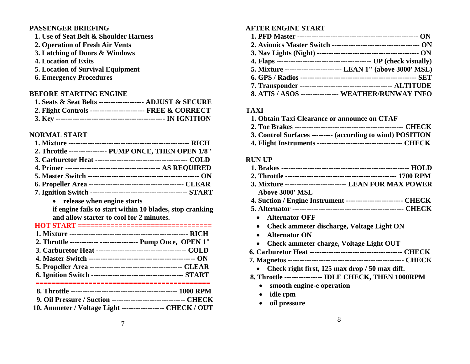## **PASSENGER BRIEFING**

- **1. Use of Seat Belt & Shoulder Harness**
- **2. Operation of Fresh Air Vents**
- **3. Latching of Doors & Windows**
- **4. Location of Exits**
- **5. Location of Survival Equipment**
- **6. Emergency Procedures**

## **BEFORE STARTING ENGINE**

| 1. Seats & Seat Belts ------------------- ADJUST & SECURE  |  |
|------------------------------------------------------------|--|
| 2. Flight Controls ------------------------ FREE & CORRECT |  |
|                                                            |  |

## **NORMAL START**

| 2. Throttle ---------------- PUMP ONCE, THEN OPEN 1/8"                                 |
|----------------------------------------------------------------------------------------|
|                                                                                        |
|                                                                                        |
|                                                                                        |
|                                                                                        |
|                                                                                        |
| release when engine starts<br>if engine fails to start within 10 blades, stop cranking |
| and allow starter to cool for 2 minutes.                                               |
|                                                                                        |
| 2. Throttle ------------ ----------------- Pump Once, OPEN 1"                          |
|                                                                                        |
|                                                                                        |
|                                                                                        |
|                                                                                        |
|                                                                                        |

| 9. Oil Pressure / Suction --------------------------------- CHECK |  |
|-------------------------------------------------------------------|--|
| 10. Ammeter / Voltage Light ------------------- CHECK / OUT       |  |

## **AFTER ENGINE START**

| 5. Mixture ------------------------- LEAN 1" (above 3000' MSL) |
|----------------------------------------------------------------|
|                                                                |
|                                                                |
| 8. ATIS / ASOS ---------------- WEATHER/RUNWAY INFO            |

## **TAXI**

| 1. Obtain Taxi Clearance or announce on CTAF               |
|------------------------------------------------------------|
|                                                            |
| 3. Control Surfaces --------- (according to wind) POSITION |
|                                                            |

## **RUN UP**

| 3. Mixture -------------------------- LEAN FOR MAX POWER        |
|-----------------------------------------------------------------|
| Above 3000' MSL                                                 |
| 4. Suction / Engine Instrument -------------------------- CHECK |
|                                                                 |
| • Alternator OFF                                                |
| <b>Check ammeter discharge, Voltage Light ON</b>                |
| <b>Alternator ON</b>                                            |
| Check ammeter charge, Voltage Light OUT                         |
|                                                                 |
|                                                                 |
| Check right first, 125 max drop / 50 max diff.                  |
| 8. Throttle ---------------- IDLE CHECK, THEN 1000RPM           |
| smooth engine-e operation                                       |
| idle rpm                                                        |

**oil pressure**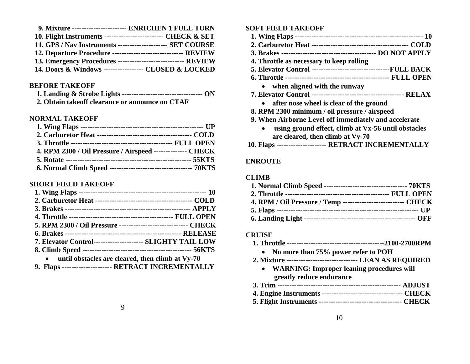| 9. Mixture ------------------------ ENRICHEN 1 FULL TURN        |
|-----------------------------------------------------------------|
| 10. Flight Instruments --------------------------- CHECK & SET  |
| 11. GPS / Nav Instruments ----------------------- SET COURSE    |
| 12. Departure Procedure -------------------------------- REVIEW |
| 13. Emergency Procedures ------------------------------ REVIEW  |
| 14. Doors & Windows ------------------ CLOSED & LOCKED          |

#### **BEFORE TAKEOFF**

| 2. Obtain takeoff clearance or announce on CTAF |  |
|-------------------------------------------------|--|

#### **NORMAL TAKEOFF**

| 4. RPM 2300 / Oil Pressure / Airspeed -------------- CHECK |  |
|------------------------------------------------------------|--|
|                                                            |  |
|                                                            |  |

#### **SHORT FIELD TAKEOFF**

| 5. RPM 2300 / Oil Pressure ------------------------------ CHECK |
|-----------------------------------------------------------------|
|                                                                 |
| 7. Elevator Control--------------------- SLIGHTY TAIL LOW       |
|                                                                 |
| • until obstacles are cleared, then climb at Vy-70              |
| 9. Flaps ---------------------- RETRACT INCREMENTALLY           |

#### **SOFT FIELD TAKEOFF**

- **1. Wing Flaps ------------------------------------------------------ 10**
- **2. Carburetor Heat ----------------------------------------- COLD**
- **3. Brakes ---------------------------------------- DO NOT APPLY**
- **4. Throttle as necessary to keep rolling**
- **5. Elevator Control ---------------------------------FULL BACK**
- **6. Throttle -------------------------------------------- FULL OPEN**
	- **when aligned with the runway**
- **7. Elevator Control --------------------------------------- RELAX**
	- **after nose wheel is clear of the ground**
- **8. RPM 2300 minimum / oil pressure / airspeed**
- **9. When Airborne Level off immediately and accelerate** 
	- **using ground effect, climb at Vx-56 until obstacles are cleared, then climb at Vy-70**
- **10. Flaps --------------------- RETRACT INCREMENTALLY**

#### **ENROUTE**

#### **CLIMB**

| 4. RPM / Oil Pressure / Temp -------------------------- CHECK |  |
|---------------------------------------------------------------|--|
|                                                               |  |
|                                                               |  |

#### **CRUISE**

- **1. Throttle -----------------------------------------2100-2700RPM**
	- **No more than 75% power refer to POH**
- **2. Mixture ------------------------------ LEAN AS REQUIRED**
	- **WARNING: Improper leaning procedures will greatly reduce endurance**
- **3. Trim ---------------------------------------------------- ADJUST**
- **4. Engine Instruments ---------------------------------- CHECK**
- **5. Flight Instruments ----------------------------------- CHECK**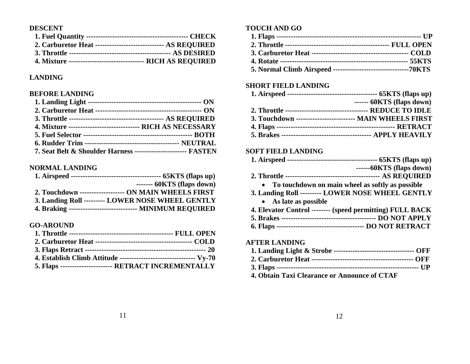## **DESCENT**

| 2. Carburetor Heat ------------------------------- AS REQUIRED |  |
|----------------------------------------------------------------|--|
|                                                                |  |
| 4. Mixture ---------------------------------- RICH AS REQUIRED |  |

## **LANDING**

### **BEFORE LANDING**

| 4. Mixture -------------------------------- RICH AS NECESSARY  |  |
|----------------------------------------------------------------|--|
|                                                                |  |
|                                                                |  |
| 7. Seat Belt & Shoulder Harness ----------------------- FASTEN |  |

## **NORMAL LANDING**

| ------- 60KTS (flaps down)                                |
|-----------------------------------------------------------|
| 2. Touchdown -------------------- ON MAIN WHEELS FIRST    |
| 3. Landing Roll --------- LOWER NOSE WHEEL GENTLY         |
| 4. Braking ----------------------------- MINIMUM REQUIRED |

## **GO-AROUND**

| 4. Establish Climb Attitude ---------------------------------- Vy-70 |
|----------------------------------------------------------------------|
| 5. Flaps ---------------------- RETRACT INCREMENTALLY                |

## **TOUCH AND GO**

## **SHORT FIELD LANDING**

| $--- 60KTS$ (flaps down)                                 |
|----------------------------------------------------------|
|                                                          |
| 3. Touchdown ------------------------- MAIN WHEELS FIRST |
|                                                          |
|                                                          |

## **SOFT FIELD LANDING**

| $---60KTS$ (flaps down)                                   |
|-----------------------------------------------------------|
|                                                           |
| To touchdown on main wheel as softly as possible          |
| 3. Landing Roll --------- LOWER NOSE WHEEL GENTLY         |
| • As late as possible                                     |
| 4. Elevator Control -------- (speed permitting) FULL BACK |
|                                                           |
|                                                           |
| <b>AFTER LANDING</b>                                      |
|                                                           |
|                                                           |
|                                                           |

**3. Flaps ------------------------------------------------------------ UP 4. Obtain Taxi Clearance or Announce of CTAF**